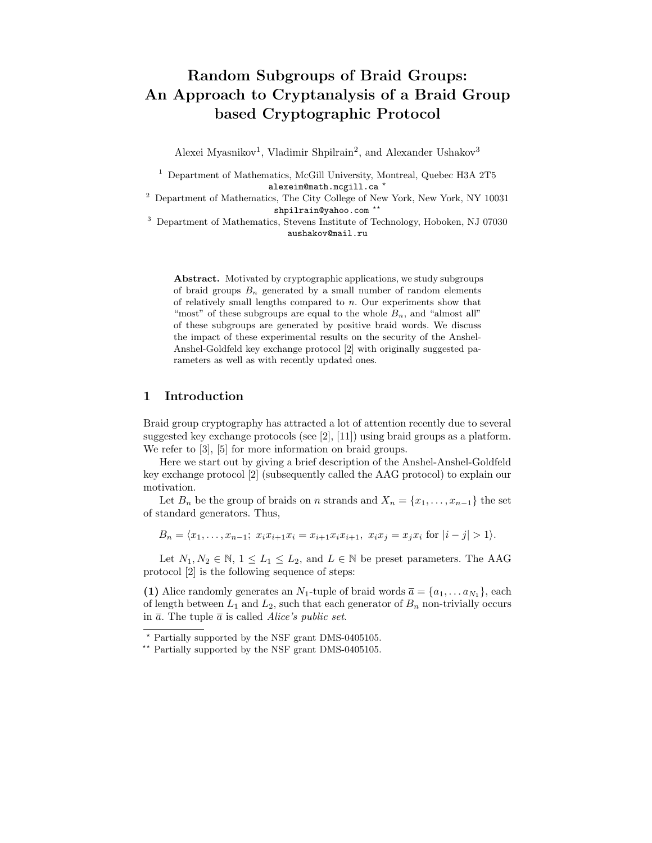# Random Subgroups of Braid Groups: An Approach to Cryptanalysis of a Braid Group based Cryptographic Protocol

Alexei Myasnikov<sup>1</sup>, Vladimir Shpilrain<sup>2</sup>, and Alexander Ushakov<sup>3</sup>

<sup>1</sup> Department of Mathematics, McGill University, Montreal, Quebec H3A 2T5 alexeim@math.mcgill.ca \*

 $^2\,$  Department of Mathematics, The City College of New York, New York, NY 10031 shpilrain@yahoo.com \*\*

<sup>3</sup> Department of Mathematics, Stevens Institute of Technology, Hoboken, NJ 07030 aushakov@mail.ru

Abstract. Motivated by cryptographic applications, we study subgroups of braid groups  $B_n$  generated by a small number of random elements of relatively small lengths compared to  $n$ . Our experiments show that "most" of these subgroups are equal to the whole  $B_n$ , and "almost all" of these subgroups are generated by positive braid words. We discuss the impact of these experimental results on the security of the Anshel-Anshel-Goldfeld key exchange protocol [2] with originally suggested parameters as well as with recently updated ones.

# 1 Introduction

Braid group cryptography has attracted a lot of attention recently due to several suggested key exchange protocols (see [2], [11]) using braid groups as a platform. We refer to  $[3]$ ,  $[5]$  for more information on braid groups.

Here we start out by giving a brief description of the Anshel-Anshel-Goldfeld key exchange protocol [2] (subsequently called the AAG protocol) to explain our motivation.

Let  $B_n$  be the group of braids on n strands and  $X_n = \{x_1, \ldots, x_{n-1}\}\)$  the set of standard generators. Thus,

 $B_n = \langle x_1, \ldots, x_{n-1}; x_ix_{i+1}x_i = x_{i+1}x_ix_{i+1}, x_ix_i = x_ix_i$  for  $|i - j| > 1$ .

Let  $N_1, N_2 \in \mathbb{N}, 1 \leq L_1 \leq L_2$ , and  $L \in \mathbb{N}$  be preset parameters. The AAG protocol [2] is the following sequence of steps:

(1) Alice randomly generates an  $N_1$ -tuple of braid words  $\overline{a} = \{a_1, \ldots a_{N_1}\}\,$  each of length between  $L_1$  and  $L_2$ , such that each generator of  $B_n$  non-trivially occurs in  $\overline{a}$ . The tuple  $\overline{a}$  is called Alice's public set.

<sup>?</sup> Partially supported by the NSF grant DMS-0405105.

<sup>\*\*</sup> Partially supported by the NSF grant DMS-0405105.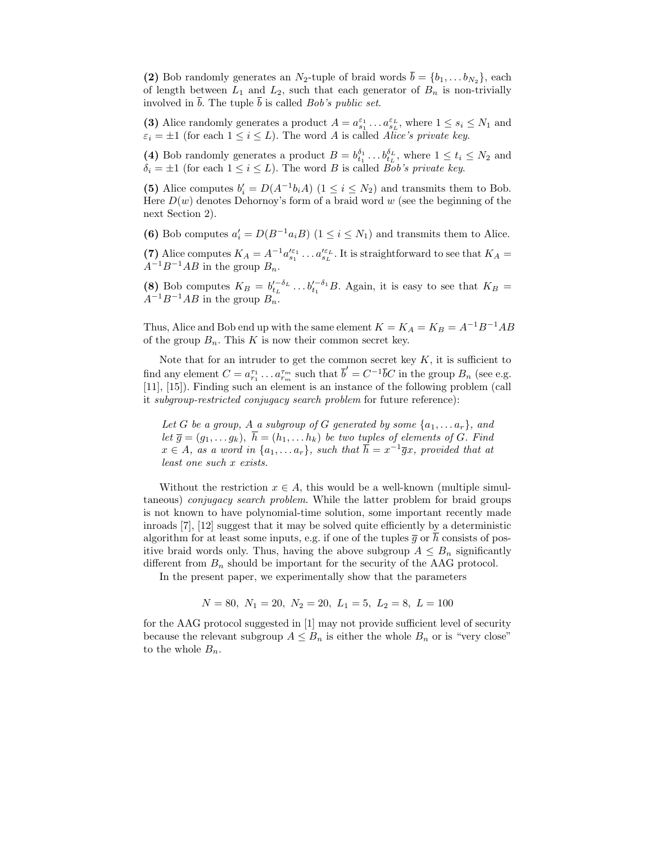(2) Bob randomly generates an  $N_2$ -tuple of braid words  $b = \{b_1, \ldots, b_{N_2}\}\,$  each of length between  $L_1$  and  $L_2$ , such that each generator of  $B_n$  is non-trivially involved in  $\overline{b}$ . The tuple  $\overline{b}$  is called *Bob's public set*.

(3) Alice randomly generates a product  $A = a_{s_1}^{\varepsilon_1} \dots a_{s_L}^{\varepsilon_L}$ , where  $1 \le s_i \le N_1$  and  $\varepsilon_i = \pm 1$  (for each  $1 \leq i \leq L$ ). The word A is called Alice's private key.

(4) Bob randomly generates a product  $B = b_{t_1}^{\delta_1} \dots b_{t_L}^{\delta_L}$ , where  $1 \le t_i \le N_2$  and  $\delta_i = \pm 1$  (for each  $1 \leq i \leq L$ ). The word B is called Bob's private key.

(5) Alice computes  $b'_i = D(A^{-1}b_iA)$   $(1 \le i \le N_2)$  and transmits them to Bob. Here  $D(w)$  denotes Dehornoy's form of a braid word w (see the beginning of the next Section 2).

(6) Bob computes  $a'_i = D(B^{-1}a_iB)$   $(1 \leq i \leq N_1)$  and transmits them to Alice.

(7) Alice computes  $K_A = A^{-1} a_{s_1}^{\ell \epsilon_1} \dots a_{s_L}^{\ell \epsilon_L}$ . It is straightforward to see that  $K_A =$  $A^{-1}B^{-1}AB$  in the group  $B_n$ .

(8) Bob computes  $K_B = b_{t_L}^{\prime - \delta_L} \dots b_{t_1}^{\prime - \delta_1} B$ . Again, it is easy to see that  $K_B =$  $A^{-1}B^{-1}AB$  in the group  $B_n$ .

Thus, Alice and Bob end up with the same element  $K = K_A = K_B = A^{-1}B^{-1}AB$ of the group  $B_n$ . This K is now their common secret key.

Note that for an intruder to get the common secret key  $K$ , it is sufficient to find any element  $C = a_{r_1}^{\tau_1} \dots a_{r_m}^{\tau_m}$  such that  $\overline{b}' = C^{-1} \overline{b} C$  in the group  $B_n$  (see e.g. [11], [15]). Finding such an element is an instance of the following problem (call it subgroup-restricted conjugacy search problem for future reference):

Let G be a group, A a subgroup of G generated by some  $\{a_1, \ldots a_r\}$ , and let  $\overline{g} = (g_1, \ldots g_k)$ ,  $\overline{h} = (h_1, \ldots h_k)$  be two tuples of elements of G. Find  $x \in A$ , as a word in  $\{a_1, \ldots a_r\}$ , such that  $\overline{h} = x^{-1} \overline{g}x$ , provided that at least one such x exists.

Without the restriction  $x \in A$ , this would be a well-known (multiple simultaneous) conjugacy search problem. While the latter problem for braid groups is not known to have polynomial-time solution, some important recently made inroads [7], [12] suggest that it may be solved quite efficiently by a deterministic algorithm for at least some inputs, e.g. if one of the tuples  $\overline{g}$  or  $\overline{h}$  consists of positive braid words only. Thus, having the above subgroup  $A \leq B_n$  significantly different from  $B_n$  should be important for the security of the AAG protocol.

In the present paper, we experimentally show that the parameters

$$
N = 80, N_1 = 20, N_2 = 20, L_1 = 5, L_2 = 8, L = 100
$$

for the AAG protocol suggested in [1] may not provide sufficient level of security because the relevant subgroup  $A \leq B_n$  is either the whole  $B_n$  or is "very close" to the whole  $B_n$ .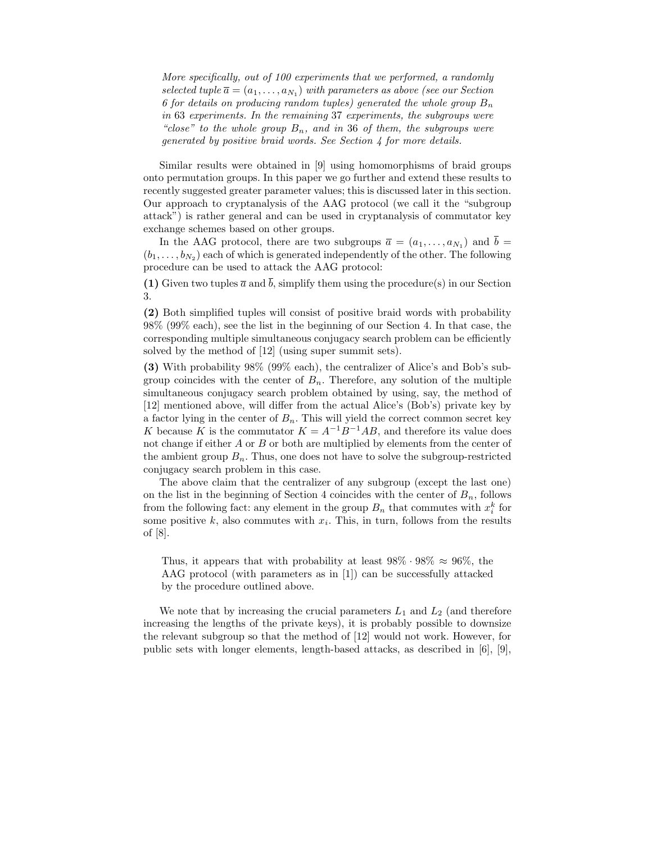More specifically, out of 100 experiments that we performed, a randomly selected tuple  $\overline{a} = (a_1, \ldots, a_{N_1})$  with parameters as above (see our Section 6 for details on producing random tuples) generated the whole group  $B_n$ in 63 experiments. In the remaining 37 experiments, the subgroups were "close" to the whole group  $B_n$ , and in 36 of them, the subgroups were generated by positive braid words. See Section 4 for more details.

Similar results were obtained in [9] using homomorphisms of braid groups onto permutation groups. In this paper we go further and extend these results to recently suggested greater parameter values; this is discussed later in this section. Our approach to cryptanalysis of the AAG protocol (we call it the "subgroup attack") is rather general and can be used in cryptanalysis of commutator key exchange schemes based on other groups.

In the AAG protocol, there are two subgroups  $\overline{a} = (a_1, \ldots, a_{N_1})$  and  $\overline{b} =$  $(b_1, \ldots, b_{N_2})$  each of which is generated independently of the other. The following procedure can be used to attack the AAG protocol:

(1) Given two tuples  $\overline{a}$  and  $\overline{b}$ , simplify them using the procedure(s) in our Section 3.

(2) Both simplified tuples will consist of positive braid words with probability 98% (99% each), see the list in the beginning of our Section 4. In that case, the corresponding multiple simultaneous conjugacy search problem can be efficiently solved by the method of [12] (using super summit sets).

(3) With probability 98% (99% each), the centralizer of Alice's and Bob's subgroup coincides with the center of  $B_n$ . Therefore, any solution of the multiple simultaneous conjugacy search problem obtained by using, say, the method of [12] mentioned above, will differ from the actual Alice's (Bob's) private key by a factor lying in the center of  $B_n$ . This will yield the correct common secret key K because K is the commutator  $K = A^{-1}B^{-1}AB$ , and therefore its value does not change if either A or B or both are multiplied by elements from the center of the ambient group  $B_n$ . Thus, one does not have to solve the subgroup-restricted conjugacy search problem in this case.

The above claim that the centralizer of any subgroup (except the last one) on the list in the beginning of Section 4 coincides with the center of  $B_n$ , follows from the following fact: any element in the group  $B_n$  that commutes with  $x_i^k$  for some positive  $k$ , also commutes with  $x_i$ . This, in turn, follows from the results of [8].

Thus, it appears that with probability at least  $98\% \cdot 98\% \approx 96\%$ , the AAG protocol (with parameters as in [1]) can be successfully attacked by the procedure outlined above.

We note that by increasing the crucial parameters  $L_1$  and  $L_2$  (and therefore increasing the lengths of the private keys), it is probably possible to downsize the relevant subgroup so that the method of [12] would not work. However, for public sets with longer elements, length-based attacks, as described in [6], [9],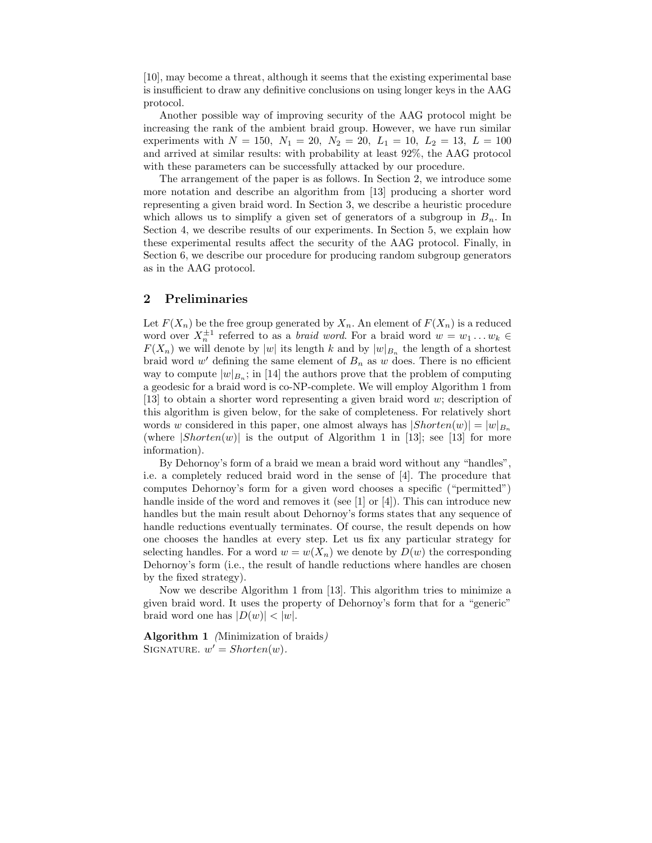[10], may become a threat, although it seems that the existing experimental base is insufficient to draw any definitive conclusions on using longer keys in the AAG protocol.

Another possible way of improving security of the AAG protocol might be increasing the rank of the ambient braid group. However, we have run similar experiments with  $N = 150$ ,  $N_1 = 20$ ,  $N_2 = 20$ ,  $L_1 = 10$ ,  $L_2 = 13$ ,  $L = 100$ and arrived at similar results: with probability at least 92%, the AAG protocol with these parameters can be successfully attacked by our procedure.

The arrangement of the paper is as follows. In Section 2, we introduce some more notation and describe an algorithm from [13] producing a shorter word representing a given braid word. In Section 3, we describe a heuristic procedure which allows us to simplify a given set of generators of a subgroup in  $B_n$ . In Section 4, we describe results of our experiments. In Section 5, we explain how these experimental results affect the security of the AAG protocol. Finally, in Section 6, we describe our procedure for producing random subgroup generators as in the AAG protocol.

## 2 Preliminaries

Let  $F(X_n)$  be the free group generated by  $X_n$ . An element of  $F(X_n)$  is a reduced word over  $X_n^{\pm 1}$  referred to as a *braid word*. For a braid word  $w = w_1 \dots w_k \in$  $F(X_n)$  we will denote by |w| its length k and by  $|w|_{B_n}$  the length of a shortest braid word  $w'$  defining the same element of  $B_n$  as w does. There is no efficient way to compute  $|w|_{B_n}$ ; in [14] the authors prove that the problem of computing a geodesic for a braid word is co-NP-complete. We will employ Algorithm 1 from [13] to obtain a shorter word representing a given braid word w; description of this algorithm is given below, for the sake of completeness. For relatively short words w considered in this paper, one almost always has  $|Shorten(w)| = |w|_{B_n}$ (where  $|Shorten(w)|$  is the output of Algorithm 1 in [13]; see [13] for more information).

By Dehornoy's form of a braid we mean a braid word without any "handles", i.e. a completely reduced braid word in the sense of [4]. The procedure that computes Dehornoy's form for a given word chooses a specific ("permitted") handle inside of the word and removes it (see [1] or [4]). This can introduce new handles but the main result about Dehornoy's forms states that any sequence of handle reductions eventually terminates. Of course, the result depends on how one chooses the handles at every step. Let us fix any particular strategy for selecting handles. For a word  $w = w(X_n)$  we denote by  $D(w)$  the corresponding Dehornoy's form (i.e., the result of handle reductions where handles are chosen by the fixed strategy).

Now we describe Algorithm 1 from [13]. This algorithm tries to minimize a given braid word. It uses the property of Dehornoy's form that for a "generic" braid word one has  $|D(w)| < |w|$ .

Algorithm 1 (Minimization of braids) SIGNATURE.  $w' = Shorten(w)$ .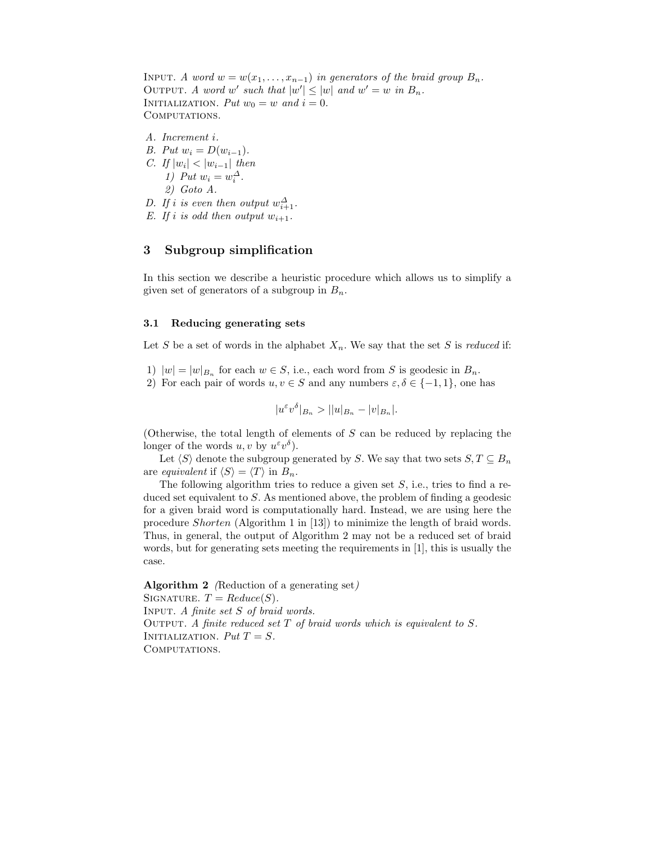INPUT. A word  $w = w(x_1, \ldots, x_{n-1})$  in generators of the braid group  $B_n$ . OUTPUT. A word w' such that  $|w'| \le |w|$  and  $w' = w$  in  $B_n$ . INITIALIZATION. Put  $w_0 = w$  and  $i = 0$ . COMPUTATIONS.

A. Increment i. B. Put  $w_i = D(w_{i-1})$ . C. If  $|w_i| < |w_{i-1}|$  then 1) Put  $w_i = w_i^{\Delta}$ . 2) Goto A. D. If i is even then output  $w_{i+1}^{\Delta}$ .

E. If i is odd then output  $w_{i+1}$ .

# 3 Subgroup simplification

In this section we describe a heuristic procedure which allows us to simplify a given set of generators of a subgroup in  $B_n$ .

#### 3.1 Reducing generating sets

Let S be a set of words in the alphabet  $X_n$ . We say that the set S is *reduced* if:

- 1)  $|w| = |w|_{B_n}$  for each  $w \in S$ , i.e., each word from S is geodesic in  $B_n$ .
- 2) For each pair of words  $u, v \in S$  and any numbers  $\varepsilon, \delta \in \{-1, 1\}$ , one has

$$
|u^{\varepsilon}v^{\delta}|_{B_n} > ||u|_{B_n} - |v|_{B_n}|.
$$

(Otherwise, the total length of elements of  $S$  can be reduced by replacing the longer of the words  $u, v$  by  $u^{\varepsilon}v^{\delta}$ .

Let  $\langle S \rangle$  denote the subgroup generated by S. We say that two sets  $S, T \subseteq B_n$ are equivalent if  $\langle S \rangle = \langle T \rangle$  in  $B_n$ .

The following algorithm tries to reduce a given set  $S$ , i.e., tries to find a reduced set equivalent to S. As mentioned above, the problem of finding a geodesic for a given braid word is computationally hard. Instead, we are using here the procedure Shorten (Algorithm 1 in [13]) to minimize the length of braid words. Thus, in general, the output of Algorithm 2 may not be a reduced set of braid words, but for generating sets meeting the requirements in [1], this is usually the case.

Algorithm 2 (Reduction of a generating set) SIGNATURE.  $T = Reduce(S)$ . Input. A finite set S of braid words. OUTPUT. A finite reduced set  $T$  of braid words which is equivalent to  $S$ . INITIALIZATION.  $Put T = S.$ COMPUTATIONS.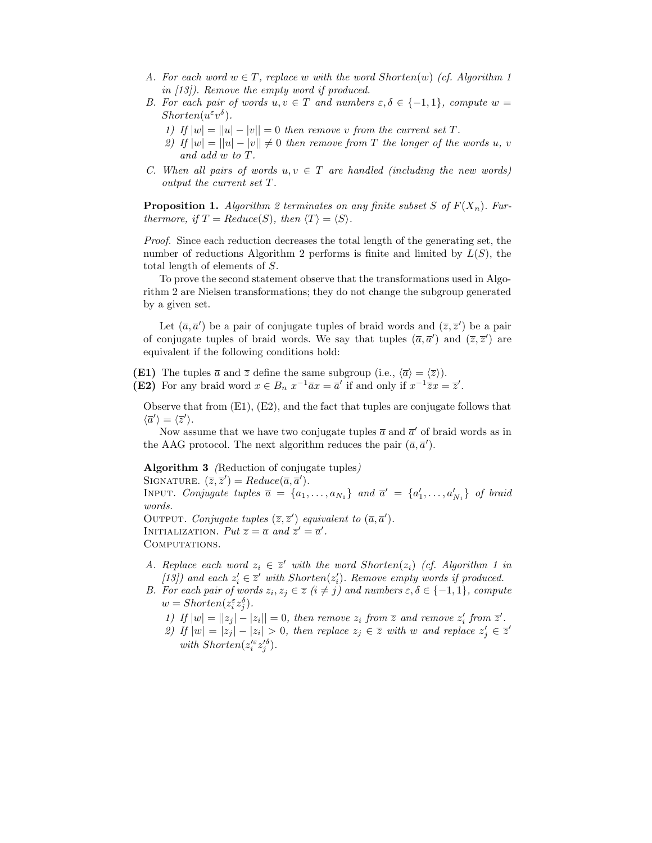- A. For each word  $w \in T$ , replace w with the word Shorten(w) (cf. Algorithm 1 in [13]). Remove the empty word if produced.
- B. For each pair of words  $u, v \in T$  and numbers  $\varepsilon, \delta \in \{-1, 1\}$ , compute  $w =$  $Shorten(u^{\varepsilon}v^{\delta}).$ 
	- 1) If  $|w| = ||u| |v|| = 0$  then remove v from the current set T.
	- 2) If  $|w| = ||u| |v|| \neq 0$  then remove from T the longer of the words u, v and add w to T.
- C. When all pairs of words  $u, v \in T$  are handled (including the new words) output the current set T.

**Proposition 1.** Algorithm 2 terminates on any finite subset S of  $F(X_n)$ . Furthermore, if  $T = Reduce(S)$ , then  $\langle T \rangle = \langle S \rangle$ .

Proof. Since each reduction decreases the total length of the generating set, the number of reductions Algorithm 2 performs is finite and limited by  $L(S)$ , the total length of elements of S.

To prove the second statement observe that the transformations used in Algorithm 2 are Nielsen transformations; they do not change the subgroup generated by a given set.

Let  $(\overline{a}, \overline{a}')$  be a pair of conjugate tuples of braid words and  $(\overline{z}, \overline{z}')$  be a pair of conjugate tuples of braid words. We say that tuples  $(\overline{a}, \overline{a}')$  and  $(\overline{z}, \overline{z}')$  are equivalent if the following conditions hold:

(E1) The tuples  $\bar{a}$  and  $\bar{z}$  define the same subgroup (i.e.,  $\langle \bar{a} \rangle = \langle \bar{z} \rangle$ ). (E2) For any braid word  $x \in B_n$   $x^{-1} \overline{a} x = \overline{a}'$  if and only if  $x^{-1} \overline{z} x = \overline{z}'$ .

Observe that from (E1), (E2), and the fact that tuples are conjugate follows that  $\langle \overline{a}' \rangle = \langle \overline{z}' \rangle.$ 

Now assume that we have two conjugate tuples  $\bar{a}$  and  $\bar{a}'$  of braid words as in the AAG protocol. The next algorithm reduces the pair  $(\overline{a}, \overline{a}')$ .

Algorithm 3 (Reduction of conjugate tuples) SIGNATURE.  $(\overline{z}, \overline{z}') = Reduce(\overline{a}, \overline{a}')$ . INPUT. Conjugate tuples  $\overline{a} = \{a_1, \ldots, a_{N_1}\}$  and  $\overline{a}' = \{a'_1, \ldots, a'_{N_1}\}$  of braid words. OUTPUT. Conjugate tuples  $(\overline{z}, \overline{z}')$  equivalent to  $(\overline{a}, \overline{a}')$ . INITIALIZATION.  $Put \ \overline{z} = \overline{a} \ and \ \overline{z}' = \overline{a}'.$ COMPUTATIONS.

- A. Replace each word  $z_i \in \overline{z}'$  with the word Shorten( $z_i$ ) (cf. Algorithm 1 in [13]) and each  $z_i' \in \overline{z}'$  with  $Shorten(z_i')$ . Remove empty words if produced.
- B. For each pair of words  $z_i, z_j \in \overline{z}$   $(i \neq j)$  and numbers  $\varepsilon, \delta \in \{-1, 1\}$ , compute  $w = Shorten(z_i^{\varepsilon} z_j^{\delta}).$ 
	- 1) If  $|w| = ||z_j| |z_i|| = 0$ , then remove  $z_i$  from  $\overline{z}$  and remove  $z'_i$  from  $\overline{z}'$ .
	- 2) If  $|w| = |z_j| |z_i| > 0$ , then replace  $z_j \in \overline{z}$  with w and replace  $z'_j \in \overline{z}'$ with  $Shorten(z_i^{\prime \varepsilon} z_j^{\prime \delta})$ .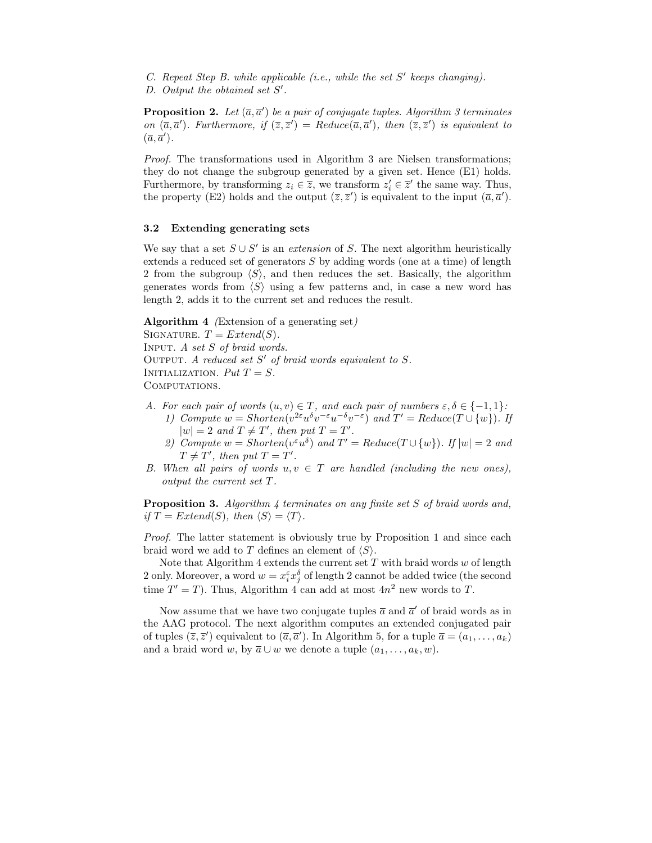- $C.$  Repeat Step B. while applicable (i.e., while the set  $S'$  keeps changing).
- D. Output the obtained set  $S'$ .

**Proposition 2.** Let  $(\overline{a}, \overline{a}')$  be a pair of conjugate tuples. Algorithm 3 terminates on  $(\overline{a}, \overline{a}')$ . Furthermore, if  $(\overline{z}, \overline{z}') = Reduce(\overline{a}, \overline{a}')$ , then  $(\overline{z}, \overline{z}')$  is equivalent to  $(\overline{a}, \overline{a}^{\prime}).$ 

Proof. The transformations used in Algorithm 3 are Nielsen transformations; they do not change the subgroup generated by a given set. Hence (E1) holds. Furthermore, by transforming  $z_i \in \overline{z}$ , we transform  $z'_i \in \overline{z}'$  the same way. Thus, the property (E2) holds and the output  $(\overline{z}, \overline{z}')$  is equivalent to the input  $(\overline{a}, \overline{a}')$ .

#### 3.2 Extending generating sets

We say that a set  $S \cup S'$  is an *extension* of S. The next algorithm heuristically extends a reduced set of generators S by adding words (one at a time) of length 2 from the subgroup  $\langle S \rangle$ , and then reduces the set. Basically, the algorithm generates words from  $\langle S \rangle$  using a few patterns and, in case a new word has length 2, adds it to the current set and reduces the result.

Algorithm 4 (Extension of a generating set)

SIGNATURE.  $T = Extend(S)$ . Input. A set S of braid words. OUTPUT. A reduced set  $S'$  of braid words equivalent to  $S$ . INITIALIZATION.  $Put T = S.$ COMPUTATIONS.

- A. For each pair of words  $(u, v) \in T$ , and each pair of numbers  $\varepsilon, \delta \in \{-1, 1\}$ : 1) Compute  $w = Shorten(v^{2\varepsilon}u^{\delta}v^{-\varepsilon}u^{-\delta}v^{-\varepsilon})$  and  $T' = Reduce(T \cup \{w\})$ . If  $|w| = 2$  and  $T \neq T'$ , then put  $T = T'$ .
	- 2) Compute  $w = Shorten(v^{\epsilon}u^{\delta})$  and  $T' = Reduce(T \cup \{w\})$ . If  $|w| = 2$  and  $T \neq T'$ , then put  $T = T'$ .
- B. When all pairs of words  $u, v \in T$  are handled (including the new ones), output the current set T.

Proposition 3. Algorithm 4 terminates on any finite set S of braid words and, if  $T = Extend(S)$ , then  $\langle S \rangle = \langle T \rangle$ .

Proof. The latter statement is obviously true by Proposition 1 and since each braid word we add to T defines an element of  $\langle S \rangle$ .

Note that Algorithm 4 extends the current set  $T$  with braid words  $w$  of length 2 only. Moreover, a word  $w = x_i^{\varepsilon} x_j^{\delta}$  of length 2 cannot be added twice (the second time  $T' = T$ ). Thus, Algorithm 4 can add at most  $4n^2$  new words to T.

Now assume that we have two conjugate tuples  $\bar{a}$  and  $\bar{a}'$  of braid words as in the AAG protocol. The next algorithm computes an extended conjugated pair of tuples  $(\overline{z}, \overline{z}')$  equivalent to  $(\overline{a}, \overline{a}')$ . In Algorithm 5, for a tuple  $\overline{a} = (a_1, \ldots, a_k)$ and a braid word w, by  $\overline{a} \cup w$  we denote a tuple  $(a_1, \ldots, a_k, w)$ .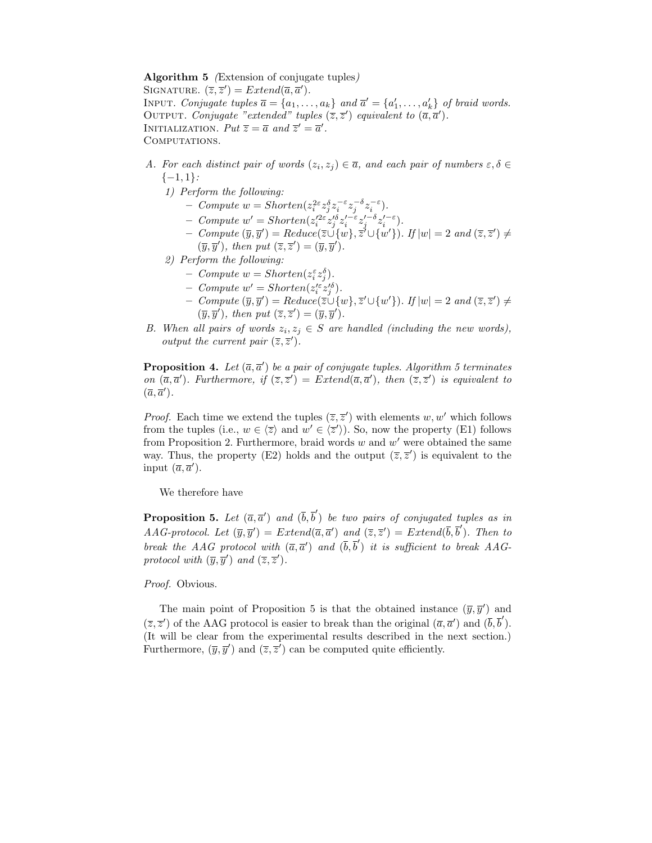Algorithm 5 (Extension of conjugate tuples) SIGNATURE.  $(\overline{z}, \overline{z}') = Extend(\overline{a}, \overline{a}')$ . INPUT. Conjugate tuples  $\overline{a} = \{a_1, \ldots, a_k\}$  and  $\overline{a}' = \{a'_1, \ldots, a'_k\}$  of braid words. OUTPUT. Conjugate "extended" tuples  $(\overline{z}, \overline{z}')$  equivalent to  $(\overline{a}, \overline{a}')$ . INITIALIZATION.  $Put \ \overline{z} = \overline{a} \ and \ \overline{z}' = \overline{a}'.$ COMPUTATIONS.

- A. For each distinct pair of words  $(z_i, z_j) \in \overline{a}$ , and each pair of numbers  $\varepsilon, \delta \in$  $\{-1,1\}$ :
	- 1) Perform the following:
		- Compute  $w = Shorten(z_i^{2\varepsilon} z_j^{\delta} z_i^{-\varepsilon} z_j^{-\delta} z_i^{-\varepsilon}).$
		- Compute  $w' = Shorten(z_i'^{2\varepsilon} z_j'^{\delta} z_i'^{-\varepsilon} z_j'^{-\delta} z_i'^{-\varepsilon}).$
		- $\begin{aligned} &\quad \text{ Compute } (\overline{y}, \overline{y}') = \text{Reduce}(\overline{z} \cup \{w\}, \overline{z}' \cup \{w'\}) \text{. If } |w| = 2 \text{ and } (\overline{z}, \overline{z}') \neq 0 \end{aligned}$  $(\overline{y}, \overline{y}')$ , then put  $(\overline{z}, \overline{z}') = (\overline{y}, \overline{y}')$ .
	- 2) Perform the following:
		- Compute  $w = Shorten(z_i^{\varepsilon} z_j^{\delta}).$
		- Compute  $w' = Shorten(z_i^{\prime \varepsilon} z_j^{\prime \delta}).$
		- $\begin{array}{l} \textit{I} \textit{Compute}\ (\overline{y}, \overline{y}') = \textit{Reduce}(\overline{z} \cup \{w\}, \overline{z}' \cup \{w'\}). \textit{If } |w| = 2 \textit{ and } (\overline{z}, \overline{z}') \neq 0 \end{array}$  $(\overline{y}, \overline{y}')$ , then put  $(\overline{z}, \overline{z}') = (\overline{y}, \overline{y}')$ .
- B. When all pairs of words  $z_i, z_j \in S$  are handled (including the new words), output the current pair  $(\overline{z}, \overline{z}')$ .

**Proposition 4.** Let  $(\overline{a}, \overline{a}')$  be a pair of conjugate tuples. Algorithm 5 terminates on  $(\overline{a}, \overline{a}')$ . Furthermore, if  $(\overline{z}, \overline{z}') = Extend(\overline{a}, \overline{a}')$ , then  $(\overline{z}, \overline{z}')$  is equivalent to  $(\overline{a}, \overline{a}^{\prime}).$ 

*Proof.* Each time we extend the tuples  $(\overline{z}, \overline{z}')$  with elements w, w' which follows from the tuples (i.e.,  $w \in \langle \overline{z} \rangle$  and  $w' \in \langle \overline{z}' \rangle$ ). So, now the property (E1) follows from Proposition 2. Furthermore, braid words  $w$  and  $w'$  were obtained the same way. Thus, the property (E2) holds and the output  $(\bar{z}, \bar{z}')$  is equivalent to the input  $(\overline{a}, \overline{a}^{\prime}).$ 

We therefore have

**Proposition 5.** Let  $(\overline{a}, \overline{a}')$  and  $(\overline{b}, \overline{b}')$  be two pairs of conjugated tuples as in  $AG-protocol.$  Let  $(\overline{y}, \overline{y}') = Extend(\overline{a}, \overline{a}')$  and  $(\overline{z}, \overline{z}') = Extend(\overline{b}, \overline{b}')$ . Then to break the AAG protocol with  $(\overline{a}, \overline{a}')$  and  $(\overline{b}, \overline{b}')$  it is sufficient to break AAGprotocol with  $(\overline{y}, \overline{y}')$  and  $(\overline{z}, \overline{z}')$ .

#### Proof. Obvious.

The main point of Proposition 5 is that the obtained instance  $(\overline{y}, \overline{y}')$  and  $(\overline{z}, \overline{z}')$  of the AAG protocol is easier to break than the original  $(\overline{a}, \overline{a}')$  and  $(\overline{b}, \overline{b}')$ . (It will be clear from the experimental results described in the next section.) Furthermore,  $(\overline{y}, \overline{y}')$  and  $(\overline{z}, \overline{z}')$  can be computed quite efficiently.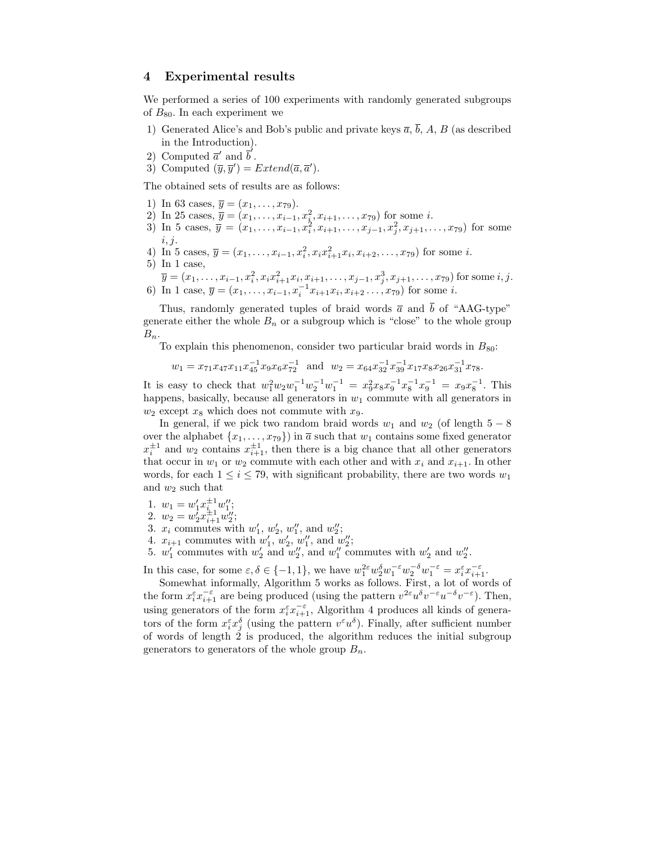# 4 Experimental results

We performed a series of 100 experiments with randomly generated subgroups of  $B_{80}$ . In each experiment we

- 1) Generated Alice's and Bob's public and private keys  $\overline{a}$ ,  $\overline{b}$ , A, B (as described in the Introduction).
- 2) Computed  $\overline{a}'$  and  $\overline{b}'$ .
- 3) Computed  $(\overline{y}, \overline{y}') = Extend(\overline{a}, \overline{a}')$ .

The obtained sets of results are as follows:

- 1) In 63 cases,  $\overline{y} = (x_1, \ldots, x_{79})$ .
- 2) In 25 cases,  $\overline{y} = (x_1, \ldots, x_{i-1}, x_i^2, x_{i+1}, \ldots, x_{79})$  for some *i*.
- 3) In 5 cases,  $\overline{y} = (x_1, \ldots, x_{i-1}, x_i^2, x_{i+1}, \ldots, x_{j-1}, x_j^2, x_{j+1}, \ldots, x_{79})$  for some  $i, j.$
- 4) In 5 cases,  $\overline{y} = (x_1, \ldots, x_{i-1}, x_i^2, x_i x_{i+1}^2 x_i, x_{i+2}, \ldots, x_{79})$  for some *i*. 5) In 1 case,
- $\overline{y} = (x_1, \ldots, x_{i-1}, x_i^2, x_i x_{i+1}^2 x_i, x_{i+1}, \ldots, x_{j-1}, x_j^3, x_{j+1}, \ldots, x_{79})$  for some  $i, j$ . 6) In 1 case,  $\overline{y} = (x_1, \ldots, x_{i-1}, x_i^{-1}x_{i+1}x_i, x_{i+2} \ldots, x_{79})$  for some *i*.

Thus, randomly generated tuples of braid words  $\bar{a}$  and  $\bar{b}$  of "AAG-type" generate either the whole  $B_n$  or a subgroup which is "close" to the whole group  $B_n$ .

To explain this phenomenon, consider two particular braid words in  $B_{80}$ :

$$
w_1 = x_{71}x_{47}x_{11}x_{45}^{-1}x_{9}x_{6}x_{72}^{-1}
$$
 and  $w_2 = x_{64}x_{32}^{-1}x_{39}^{-1}x_{17}x_{8}x_{26}x_{31}^{-1}x_{78}$ .

It is easy to check that  $w_1^2 w_2 w_1^{-1} w_2^{-1} w_1^{-1} = x_9^2 x_8 x_9^{-1} x_8^{-1} x_9^{-1} = x_9 x_8^{-1}$ . This happens, basically, because all generators in  $w_1$  commute with all generators in  $w_2$  except  $x_8$  which does not commute with  $x_9$ .

In general, if we pick two random braid words  $w_1$  and  $w_2$  (of length  $5-8$ over the alphabet  $\{x_1, \ldots, x_{79}\}\$  in  $\overline{a}$  such that  $w_1$  contains some fixed generator  $x_i^{\pm 1}$  and  $w_2$  contains  $x_{i+1}^{\pm 1}$ , then there is a big chance that all other generators that occur in  $w_1$  or  $w_2$  commute with each other and with  $x_i$  and  $x_{i+1}$ . In other words, for each  $1 \leq i \leq 79$ , with significant probability, there are two words  $w_1$ and  $w_2$  such that

1.  $w_1 = w'_1 x_{i_1}^{\pm 1} w''_1;$ 

2. 
$$
w_2 = w_2^{\dagger} x_{i+1}^{\frac{\ell}{2}} w_2^{\prime\prime}
$$
;

- 2.  $w_2 = w'_2 x_{i+1}^{\pm 1} w''_2;$ <br>3.  $x_i$  commutes with  $w'_1, w'_2, w''_1$ , and  $w''_2;$
- 4.  $x_{i+1}$  commutes with  $w'_1, w'_2, w''_1$ , and  $w''_2$ ;
- 5.  $w'_1$  commutes with  $w'_2$  and  $w''_2$ , and  $w''_1$  commutes with  $w'_2$  and  $w''_2$ .

In this case, for some  $\varepsilon, \delta \in \{-1, 1\}$ , we have  $w_1^{2\varepsilon} w_2^{\delta} w_1^{-\varepsilon} w_2^{-\delta} w_1^{-\varepsilon} = x_i^{\varepsilon} x_{i+1}^{-\varepsilon}$ .

Somewhat informally, Algorithm 5 works as follows. First, a lot of words of the form  $x_i^{\varepsilon} x_{i+1}^{-\varepsilon}$  are being produced (using the pattern  $v^{2\varepsilon} u^{\delta} v^{-\varepsilon} u^{-\delta} v^{-\varepsilon}$ ). Then, using generators of the form  $x_i^{\varepsilon} x_{i+1}^{-\varepsilon}$ , Algorithm 4 produces all kinds of generators of the form  $x_i^{\varepsilon} x_j^{\delta}$  (using the pattern  $v^{\varepsilon} u^{\delta}$ ). Finally, after sufficient number of words of length  $\dot{2}$  is produced, the algorithm reduces the initial subgroup generators to generators of the whole group  $B_n$ .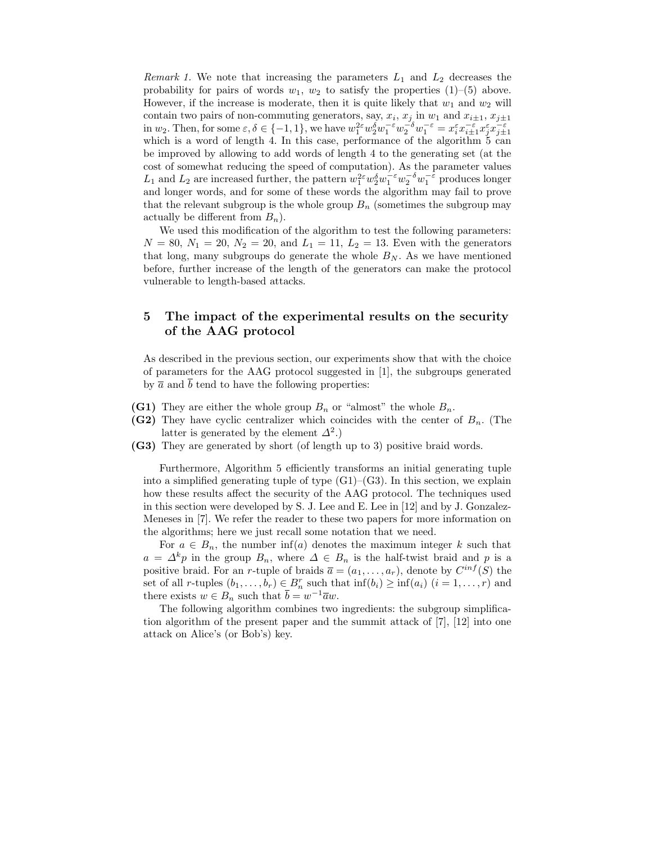Remark 1. We note that increasing the parameters  $L_1$  and  $L_2$  decreases the probability for pairs of words  $w_1$ ,  $w_2$  to satisfy the properties  $(1)$ – $(5)$  above. However, if the increase is moderate, then it is quite likely that  $w_1$  and  $w_2$  will contain two pairs of non-commuting generators, say,  $x_i$ ,  $x_j$  in  $w_1$  and  $x_{i\pm 1}$ ,  $x_{j\pm 1}$ in  $w_2$ . Then, for some  $\varepsilon, \delta \in \{-1, 1\}$ , we have  $w_1^{2\varepsilon} w_2^{\delta w_1^{-\varepsilon}} w_2^{-\delta} w_1^{-\varepsilon} = x_i^{\varepsilon} x_{i \pm 1}^{-\varepsilon} x_j^{\varepsilon} x_{j \pm 1}^{-\varepsilon}$ which is a word of length 4. In this case, performance of the algorithm  $5$  can be improved by allowing to add words of length 4 to the generating set (at the cost of somewhat reducing the speed of computation). As the parameter values  $L_1$  and  $L_2$  are increased further, the pattern  $w_1^{2\varepsilon} w_2^{\delta} w_1^{-\varepsilon} w_2^{-\delta} w_1^{-\varepsilon}$  produces longer and longer words, and for some of these words the algorithm may fail to prove that the relevant subgroup is the whole group  $B_n$  (sometimes the subgroup may actually be different from  $B_n$ ).

We used this modification of the algorithm to test the following parameters:  $N = 80, N_1 = 20, N_2 = 20, \text{ and } L_1 = 11, L_2 = 13.$  Even with the generators that long, many subgroups do generate the whole  $B_N$ . As we have mentioned before, further increase of the length of the generators can make the protocol vulnerable to length-based attacks.

# 5 The impact of the experimental results on the security of the AAG protocol

As described in the previous section, our experiments show that with the choice of parameters for the AAG protocol suggested in [1], the subgroups generated by  $\overline{a}$  and  $\overline{b}$  tend to have the following properties:

- (G1) They are either the whole group  $B_n$  or "almost" the whole  $B_n$ .
- (G2) They have cyclic centralizer which coincides with the center of  $B_n$ . (The latter is generated by the element  $\Delta^2$ .)
- (G3) They are generated by short (of length up to 3) positive braid words.

Furthermore, Algorithm 5 efficiently transforms an initial generating tuple into a simplified generating tuple of type  $(G1)$ – $(G3)$ . In this section, we explain how these results affect the security of the AAG protocol. The techniques used in this section were developed by S. J. Lee and E. Lee in [12] and by J. Gonzalez-Meneses in [7]. We refer the reader to these two papers for more information on the algorithms; here we just recall some notation that we need.

For  $a \in B_n$ , the number inf(a) denotes the maximum integer k such that  $a = \Delta^k p$  in the group  $B_n$ , where  $\Delta \in B_n$  is the half-twist braid and p is a positive braid. For an *r*-tuple of braids  $\bar{a} = (a_1, \ldots, a_r)$ , denote by  $C^{inf}(S)$  the set of all r-tuples  $(b_1, \ldots, b_r) \in B_n^r$  such that  $\inf(b_i) \ge \inf(a_i)$   $(i = 1, \ldots, r)$  and there exists  $w \in B_n$  such that  $\overline{b} = w^{-1}\overline{a}w$ .

The following algorithm combines two ingredients: the subgroup simplification algorithm of the present paper and the summit attack of [7], [12] into one attack on Alice's (or Bob's) key.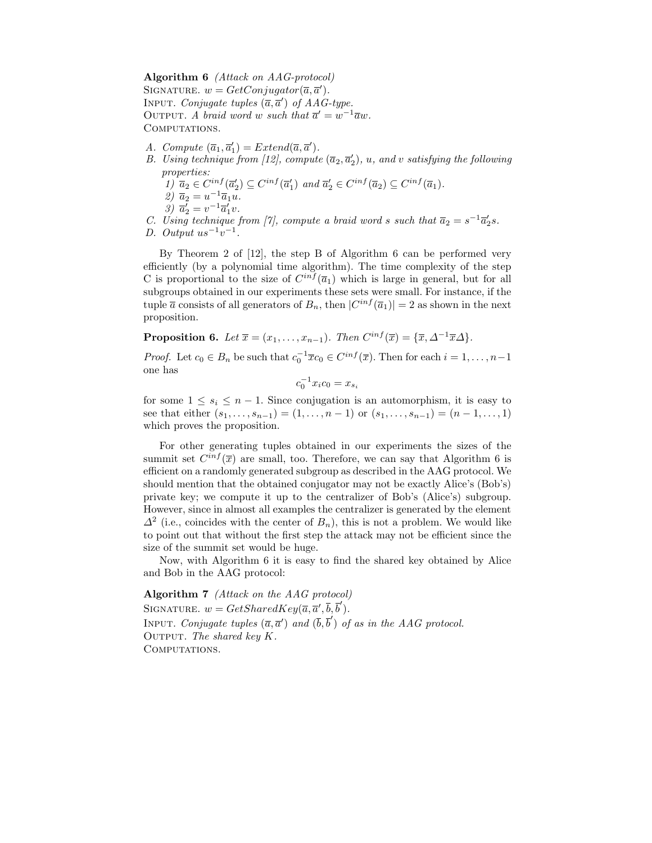Algorithm 6 (Attack on AAG-protocol) SIGNATURE.  $w = GetConjugator(\overline{a}, \overline{a}').$ INPUT. Conjugate tuples  $(\overline{a}, \overline{a}')$  of AAG-type. OUTPUT. A braid word w such that  $\overline{a}' = w^{-1} \overline{a} w$ . COMPUTATIONS.

- A. Compute  $(\overline{a}_1, \overline{a}'_1) = Extend(\overline{a}, \overline{a}')$ .
- B. Using technique from [12], compute  $(\overline{a}_2, \overline{a}'_2)$ , u, and v satisfying the following properties:
	- $1) \overline{a}_2 \in C^{inf}(\overline{a}_2') \subseteq C^{inf}(\overline{a}_1')$  and  $\overline{a}_2' \in C^{inf}(\overline{a}_2) \subseteq C^{inf}(\overline{a}_1)$ .
	- $\left( \mathbf{z}\right) \overline{a}_{2} = u^{-1}\overline{a}_{1}u.$
	- $\overline{a}_2' = v^{-1} \overline{a}_1' v.$
- C. Using technique from [7], compute a braid word s such that  $\overline{a_2} = s^{-1} \overline{a'_2} s$ .
- D. Output  $us^{-1}v^{-1}$ .

By Theorem 2 of [12], the step B of Algorithm 6 can be performed very efficiently (by a polynomial time algorithm). The time complexity of the step C is proportional to the size of  $C^{inf}(\overline{a}_1)$  which is large in general, but for all subgroups obtained in our experiments these sets were small. For instance, if the tuple  $\bar{a}$  consists of all generators of  $B_n$ , then  $|C^{inf}(\bar{a}_1)| = 2$  as shown in the next proposition.

**Proposition 6.** Let  $\overline{x} = (x_1, \ldots, x_{n-1})$ . Then  $C^{inf}(\overline{x}) = {\overline{x}, \Delta^{-1} \overline{x} \Delta}$ .

*Proof.* Let  $c_0 \in B_n$  be such that  $c_0^{-1} \overline{x} c_0 \in C^{inf}(\overline{x})$ . Then for each  $i = 1, ..., n-1$ one has

$$
c_0^{-1} x_i c_0 = x_{s_i}
$$

for some  $1 \leq s_i \leq n-1$ . Since conjugation is an automorphism, it is easy to see that either  $(s_1, \ldots, s_{n-1}) = (1, \ldots, n-1)$  or  $(s_1, \ldots, s_{n-1}) = (n-1, \ldots, 1)$ which proves the proposition.

For other generating tuples obtained in our experiments the sizes of the summit set  $C^{inf}(\overline{x})$  are small, too. Therefore, we can say that Algorithm 6 is efficient on a randomly generated subgroup as described in the AAG protocol. We should mention that the obtained conjugator may not be exactly Alice's (Bob's) private key; we compute it up to the centralizer of Bob's (Alice's) subgroup. However, since in almost all examples the centralizer is generated by the element  $\Delta^2$  (i.e., coincides with the center of  $B_n$ ), this is not a problem. We would like to point out that without the first step the attack may not be efficient since the size of the summit set would be huge.

Now, with Algorithm 6 it is easy to find the shared key obtained by Alice and Bob in the AAG protocol:

Algorithm 7 (Attack on the AAG protocol) SIGNATURE.  $w = GetSharedKey(\overline{a}, \overline{a}', \overline{b}, \overline{b}').$ INPUT. Conjugate tuples  $(\overline{a}, \overline{a}')$  and  $(\overline{b}, \overline{b}')$  of as in the AAG protocol. OUTPUT. The shared key  $K$ . COMPUTATIONS.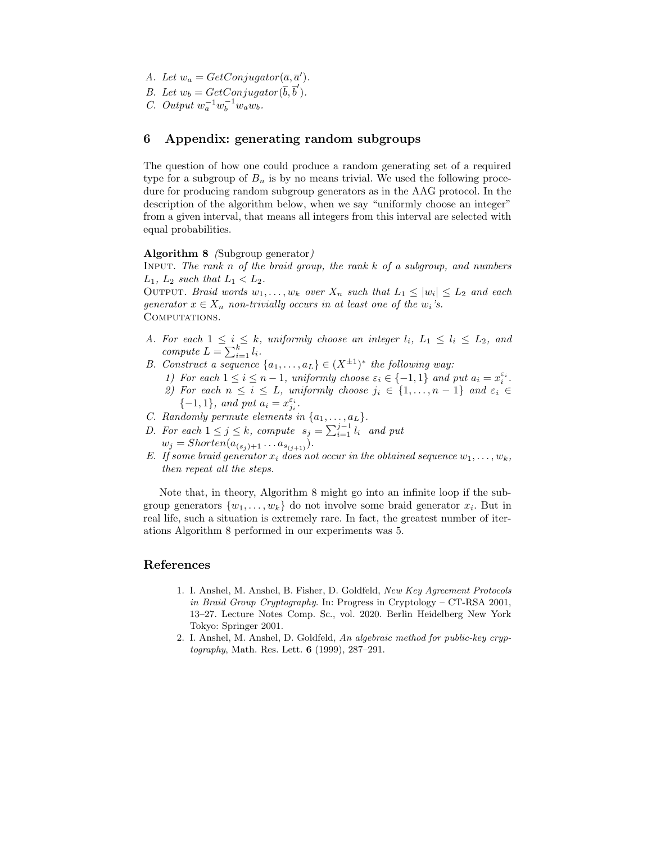- A. Let  $w_a = GetConjugator(\overline{a}, \overline{a}').$
- B. Let  $w_b = \text{GetConjugator}(\overline{b}, \overline{b}').$
- *C.* Output  $w_a^{-1}w_b^{-1}w_a w_b$ .

# 6 Appendix: generating random subgroups

The question of how one could produce a random generating set of a required type for a subgroup of  $B_n$  is by no means trivial. We used the following procedure for producing random subgroup generators as in the AAG protocol. In the description of the algorithm below, when we say "uniformly choose an integer" from a given interval, that means all integers from this interval are selected with equal probabilities.

#### Algorithm 8 (Subgroup generator)

INPUT. The rank n of the braid group, the rank  $k$  of a subgroup, and numbers  $L_1$ ,  $L_2$  such that  $L_1 < L_2$ .

OUTPUT. Braid words  $w_1, \ldots, w_k$  over  $X_n$  such that  $L_1 \leq |w_i| \leq L_2$  and each generator  $x \in X_n$  non-trivially occurs in at least one of the  $w_i$ 's. COMPUTATIONS.

- A. For each  $1 \leq i \leq k$ , uniformly choose an integer  $l_i$ ,  $L_1 \leq l_i \leq L_2$ , and compute  $L = \sum_{i=1}^k l_i$ .
- B. Construct a sequence  $\{a_1, \ldots, a_L\} \in (X^{\pm 1})^*$  the following way:
	- 1) For each  $1 \leq i \leq n-1$ , uniformly choose  $\varepsilon_i \in \{-1,1\}$  and put  $a_i = x_i^{\varepsilon_i}$ . 2) For each  $n \leq i \leq L$ , uniformly choose  $j_i \in \{1, \ldots, n-1\}$  and  $\varepsilon_i \in$ {-1, 1}, and put  $a_i = x_{j_i}^{\varepsilon_i}$ .
- C. Randomly permute elements in  $\{a_1, \ldots, a_L\}.$
- D. For each  $1 \leq j \leq k$ , compute  $s_j = \sum_{i=1}^{j-1} l_i$  and put  $w_j = Shorten(a_{(s_j)+1} \ldots a_{s_{(j+1)}}).$
- E. If some braid generator  $x_i$  does not occur in the obtained sequence  $w_1, \ldots, w_k$ , then repeat all the steps.

Note that, in theory, Algorithm 8 might go into an infinite loop if the subgroup generators  $\{w_1, \ldots, w_k\}$  do not involve some braid generator  $x_i$ . But in real life, such a situation is extremely rare. In fact, the greatest number of iterations Algorithm 8 performed in our experiments was 5.

# References

- 1. I. Anshel, M. Anshel, B. Fisher, D. Goldfeld, New Key Agreement Protocols in Braid Group Cryptography. In: Progress in Cryptology – CT-RSA 2001, 13–27. Lecture Notes Comp. Sc., vol. 2020. Berlin Heidelberg New York Tokyo: Springer 2001.
- 2. I. Anshel, M. Anshel, D. Goldfeld, An algebraic method for public-key cryp $tography$ , Math. Res. Lett. 6 (1999), 287-291.